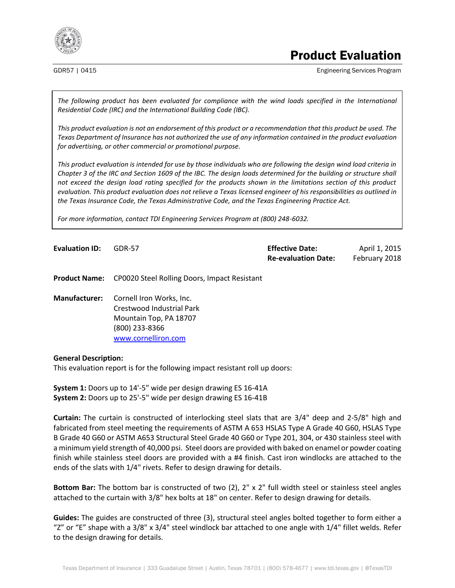

# Product Evaluation

GDR57 | 0415 **Engineering Services Program Engineering Services Program** 

*The following product has been evaluated for compliance with the wind loads specified in the International Residential Code (IRC) and the International Building Code (IBC).*

*This product evaluation is not an endorsement of this product or a recommendation that this product be used. The Texas Department of Insurance has not authorized the use of any information contained in the product evaluation for advertising, or other commercial or promotional purpose.*

*This product evaluation is intended for use by those individuals who are following the design wind load criteria in Chapter 3 of the IRC and Section 1609 of the IBC. The design loads determined for the building or structure shall not exceed the design load rating specified for the products shown in the limitations section of this product evaluation. This product evaluation does not relieve a Texas licensed engineer of his responsibilities as outlined in the Texas Insurance Code, the Texas Administrative Code, and the Texas Engineering Practice Act.*

*For more information, contact TDI Engineering Services Program at (800) 248-6032.*

| <b>Evaluation ID:</b> | <b>GDR-57</b> | <b>Effective Date:</b>     | April 1, 2015 |
|-----------------------|---------------|----------------------------|---------------|
|                       |               | <b>Re-evaluation Date:</b> | February 2018 |

**Product Name:** CP0020 Steel Rolling Doors, Impact Resistant

**Manufacturer:** Cornell Iron Works, Inc. Crestwood Industrial Park Mountain Top, PA 18707 (800) 233-8366 [www.cornelliron.com](http://www.cornelliron.com/)

#### **General Description:**

This evaluation report is for the following impact resistant roll up doors:

**System 1:** Doors up to 14'-5" wide per design drawing ES 16-41A **System 2:** Doors up to 25'-5" wide per design drawing ES 16-41B

**Curtain:** The curtain is constructed of interlocking steel slats that are 3/4" deep and 2-5/8" high and fabricated from steel meeting the requirements of ASTM A 653 HSLAS Type A Grade 40 G60, HSLAS Type B Grade 40 G60 or ASTM A653 Structural Steel Grade 40 G60 or Type 201, 304, or 430 stainless steel with a minimum yield strength of 40,000 psi. Steel doors are provided with baked on enamel or powder coating finish while stainless steel doors are provided with a #4 finish. Cast iron windlocks are attached to the ends of the slats with 1/4" rivets. Refer to design drawing for details.

**Bottom Bar:** The bottom bar is constructed of two (2), 2" x 2" full width steel or stainless steel angles attached to the curtain with 3/8" hex bolts at 18" on center. Refer to design drawing for details.

**Guides:** The guides are constructed of three (3), structural steel angles bolted together to form either a "Z" or "E" shape with a 3/8" x 3/4" steel windlock bar attached to one angle with 1/4" fillet welds. Refer to the design drawing for details.